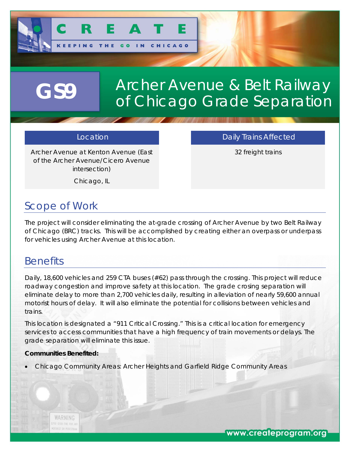

# Archer Avenue & Belt Railway **GS9** of Chicago Grade Separation

Archer Avenue at Kenton Avenue (East of the Archer Avenue/Cicero Avenue intersection)

Location **Daily Trains Affected** 

32 freight trains

Chicago, IL

## *Scope of Work*

The project will consider eliminating the at-grade crossing of Archer Avenue by two Belt Railway of Chicago (BRC) tracks. This will be accomplished by creating either an overpass or underpass for vehicles using Archer Avenue at this location.

#### *Benefits*

Daily, 18,600 vehicles and 259 CTA buses (#62) pass through the crossing. This project will reduce roadway congestion and improve safety at this location. The grade crosing separation will eliminate delay to more than 2,700 vehicles daily, resulting in alleviation of nearly 59,600 annual motorist hours of delay. It will also eliminate the potential for collisions between vehicles and trains.

This location is designated a "911 Critical Crossing." This is a critical location for emergency services to access communities that have a high frequency of train movements or delays. The grade separation will eliminate this issue.

#### **Communities Benefited:**

Chicago Community Areas: Archer Heights and Garfield Ridge Community Areas